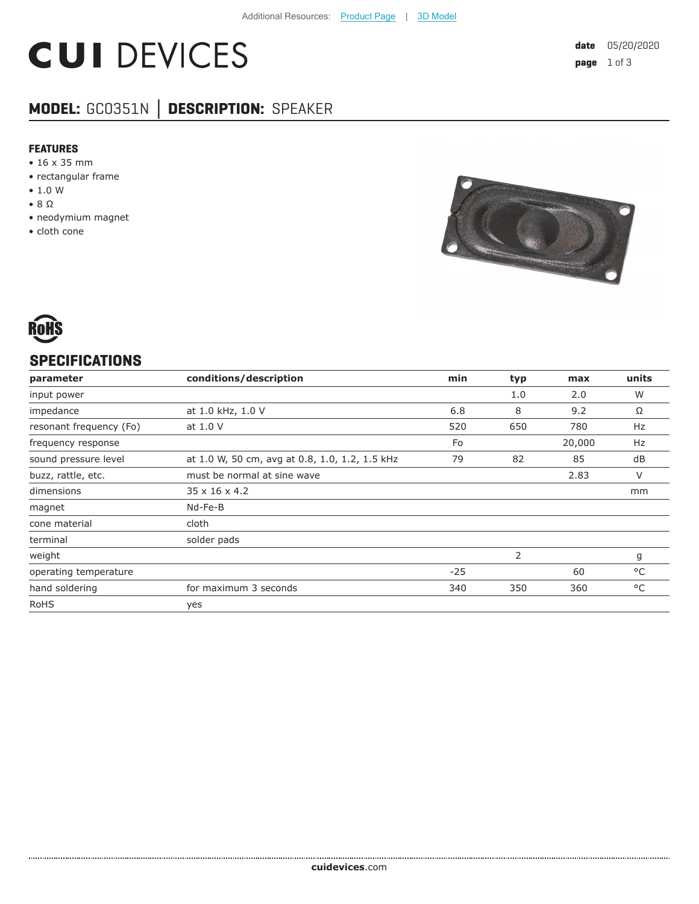# **CUI DEVICES**

# **MODEL:** GC0351N **│ DESCRIPTION:** SPEAKER

#### **FEATURES**

- 16 x 35 mm
- rectangular frame
- 1.0 W
- 8 Ω
- neodymium magnet
- cloth cone





### **SPECIFICATIONS**

| parameter               | conditions/description                         | min   | typ | max    | units |
|-------------------------|------------------------------------------------|-------|-----|--------|-------|
| input power             |                                                |       | 1.0 | 2.0    | W     |
| impedance               | at 1.0 kHz, 1.0 V                              | 6.8   | 8   | 9.2    | Ω     |
| resonant frequency (Fo) | at 1.0 V                                       | 520   | 650 | 780    | Hz    |
| frequency response      |                                                | Fo    |     | 20,000 | Hz    |
| sound pressure level    | at 1.0 W, 50 cm, avg at 0.8, 1.0, 1.2, 1.5 kHz | 79    | 82  | 85     | dB    |
| buzz, rattle, etc.      | must be normal at sine wave                    |       |     | 2.83   | V     |
| dimensions              | $35 \times 16 \times 4.2$                      |       |     |        | mm    |
| magnet                  | Nd-Fe-B                                        |       |     |        |       |
| cone material           | cloth                                          |       |     |        |       |
| terminal                | solder pads                                    |       |     |        |       |
| weight                  |                                                |       | 2   |        | g     |
| operating temperature   |                                                | $-25$ |     | 60     | °C    |
| hand soldering          | for maximum 3 seconds                          | 340   | 350 | 360    | °C    |
| <b>RoHS</b>             | yes                                            |       |     |        |       |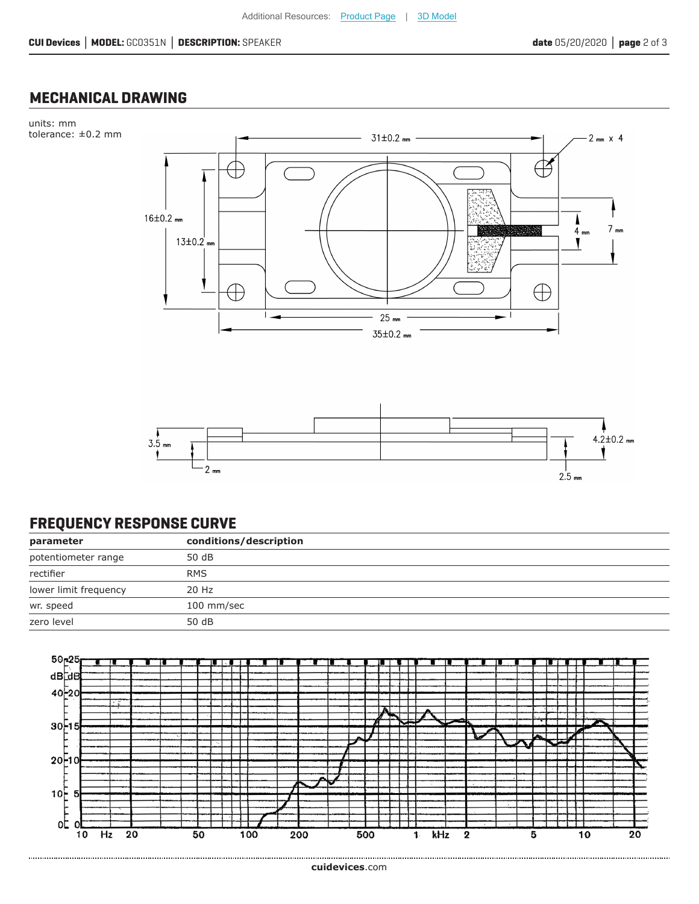### **MECHANICAL DRAWING**





## **FREQUENCY RESPONSE CURVE**

| parameter             | conditions/description |
|-----------------------|------------------------|
| potentiometer range   | 50 dB                  |
| rectifier             | <b>RMS</b>             |
| lower limit frequency | 20 Hz                  |
| wr. speed             | 100 mm/sec             |
| zero level            | 50 dB                  |